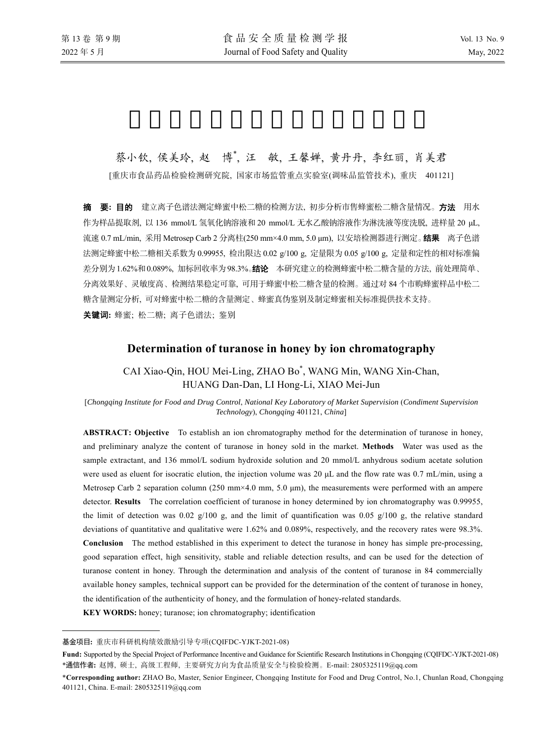# 蔡小钦, 侯美玲, 赵 博\*, 汪 敏, 王馨婵, 黄丹丹, 李红丽, 肖美君

[重庆市食品药品检验检测研究院, 国家市场监管重点实验室(调味品监管技术), 重庆 401121]

摘要**:** 目的 建立离子色谱法测定蜂蜜中松二糖的检测方法, 初步分析市售蜂蜜松二糖含量情况。方法用水 作为样品提取剂, 以 136 mmol/L 氢氧化钠溶液和 20 mmol/L 无水乙酸钠溶液作为淋洗液等度洗脱, 进样量 20 μL, 流速 0.7 mL/min, 采用 Metrosep Carb 2 分离柱(250 mm×4.0 mm, 5.0 μm), 以安培检测器进行测定。结果离子色谱 法测定蜂蜜中松二糖相关系数为 0.99955, 检出限达 0.02 g/100 g, 定量限为 0.05 g/100 g, 定量和定性的相对标准偏 差分别为1.62%和0.089%, 加标回收率为98.3%。结论本研究建立的检测蜂蜜中松二糖含量的方法, 前处理简单、 分离效果好、灵敏度高、检测结果稳定可靠, 可用于蜂蜜中松二糖含量的检测。通过对 84 个市购蜂蜜样品中松二 糖含量测定分析, 可对蜂蜜中松二糖的含量测定、蜂蜜真伪鉴别及制定蜂蜜相关标准提供技术支持。 关键词**:** 蜂蜜; 松二糖; 离子色谱法; 鉴别

# **Determination of turanose in honey by ion chromatography**

CAI Xiao-Qin, HOU Mei-Ling, ZHAO Bo\* , WANG Min, WANG Xin-Chan, HUANG Dan-Dan, LI Hong-Li, XIAO Mei-Jun

[*Chongqing Institute for Food and Drug Control*, *National Key Laboratory of Market Supervision* (*Condiment Supervision Technology*), *Chongqing* 401121, *China*]

**ABSTRACT: Objective** To establish an ion chromatography method for the determination of turanose in honey, and preliminary analyze the content of turanose in honey sold in the market. **Methods** Water was used as the sample extractant, and 136 mmol/L sodium hydroxide solution and 20 mmol/L anhydrous sodium acetate solution were used as eluent for isocratic elution, the injection volume was 20 μL and the flow rate was 0.7 mL/min, using a Metrosep Carb 2 separation column (250 mm×4.0 mm, 5.0  $\mu$ m), the measurements were performed with an ampere detector. **Results** The correlation coefficient of turanose in honey determined by ion chromatography was 0.99955, the limit of detection was 0.02  $g/100 g$ , and the limit of quantification was 0.05  $g/100 g$ , the relative standard deviations of quantitative and qualitative were 1.62% and 0.089%, respectively, and the recovery rates were 98.3%. **Conclusion** The method established in this experiment to detect the turanose in honey has simple pre-processing, good separation effect, high sensitivity, stable and reliable detection results, and can be used for the detection of turanose content in honey. Through the determination and analysis of the content of turanose in 84 commercially available honey samples, technical support can be provided for the determination of the content of turanose in honey, the identification of the authenticity of honey, and the formulation of honey-related standards.

**KEY WORDS:** honey; turanose; ion chromatography; identification

 $\overline{a}$ 

基金项目**:** 重庆市科研机构绩效激励引导专项(CQIFDC-YJKT-2021-08)

**Fund:** Supported by the Special Project of Performance Incentive and Guidance for Scientific Research Institutions in Chongqing (CQIFDC-YJKT-2021-08) \*通信作者**:** 赵博, 硕士, 高级工程师, 主要研究方向为食品质量安全与检验检测。E-mail: 2805325119@qq.com

<sup>\*</sup>**Corresponding author:** ZHAO Bo, Master, Senior Engineer, Chongqing Institute for Food and Drug Control, No.1, Chunlan Road, Chongqing 401121, China. E-mail: 2805325119@qq.com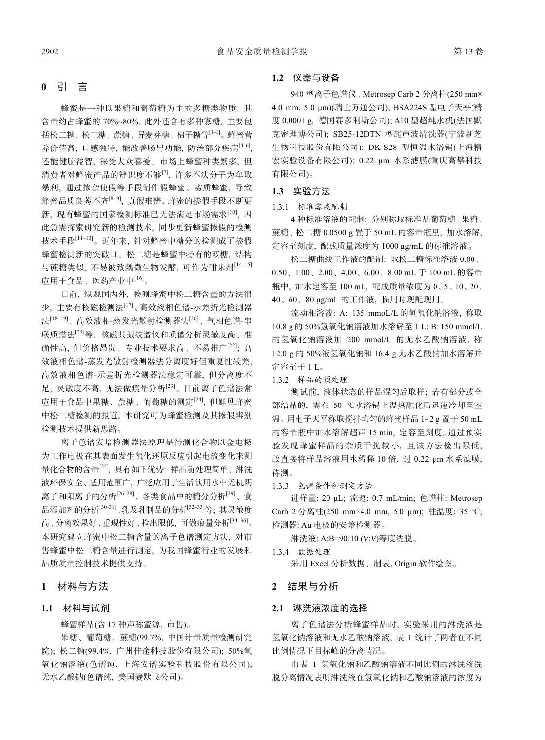## **0** 引 言

蜂蜜是一种以果糖和葡萄糖为主的多糖类物质, 其 含量约占蜂蜜的 70%~80%, 此外还含有多种寡糖, 主要包 括松二糖、松三糖、蔗糖、异麦芽糖、棉子糖等[1–3]。蜂蜜营 养价值高, 口感独特, 能改善肠胃功能, 防治部分疾病[46], 还能健脑益智, 深受大众喜爱。市场上蜂蜜种类繁多, 但 消费者对蜂蜜产品的辨识度不够[7], 许多不法分子为牟取 暴利, 通过掺杂使假等手段制作假蜂蜜、劣质蜂蜜, 导致 蜂蜜品质良莠不齐[8–9], 真假难辨。蜂蜜的掺假手段不断更 新, 现有蜂蜜的国家检测标准已无法满足市场需求[10], 因 此急需探索研究新的检测技术, 同步更新蜂蜜掺假的检测 技术手段[11–13]。近年来, 针对蜂蜜中糖分的检测成了掺假 蜂蜜检测新的突破口。松二糖是蜂蜜中特有的双糖, 结构 与蔗糖类似, 不易被致龋微生物发酵, 可作为甜味剂[14–15] 应用于食品、医药产业中[16]。

目前, 纵观国内外, 检测蜂蜜中松二糖含量的方法很 少, 主要有核磁检测法[17]、高效液相色谱-示差折光检测器 法[18–19]、高效液相-蒸发光散射检测器法[20]、气相色谱-串 联质谱法[21]等。核磁共振波谱仪和质谱分析灵敏度高、准 确性高, 但价格昂贵、专业技术要求高、不易推广[22]; 高 效液相色谱-蒸发光散射检测器法分离度好但重复性较差, 高效液相色谱-示差折光检测器法稳定可靠, 但分离度不 足, 灵敏度不高, 无法做痕量分析[23]。目前离子色谱法常 应用于食品中果糖、蔗糖、葡萄糖的测定[24], 但鲜见蜂蜜 中松二糖检测的报道, 本研究可为蜂蜜检测及其掺假辨别 检测技术提供新思路。

离子色谱安培检测器法原理是待测化合物以金电极 为工作电极在其表面发生氧化还原反应引起电流变化来测 量化合物的含量[25], 具有如下优势: 样品前处理简单、淋洗 液环保安全、适用范围广, 广泛应用于生活饮用水中无机阴 离子和阳离子的分析<sup>[26–28]</sup>、各类食品中的糖分分析<sup>[29]</sup>、食 品添加剂的分析[30–31]、乳及乳制品的分析[32–33]等; 其灵敏度 高、分离效果好、重现性好、检出限低, 可做痕量分析[34–36]。 本研究建立蜂蜜中松二糖含量的离子色谱测定方法, 对市 售蜂蜜中松二糖含量进行测定, 为我国蜂蜜行业的发展和 品质质量控制技术提供支持。

# **1** 材料与方法

## **1.1** 材料与试剂

蜂蜜样品(含 17 种声称蜜源, 市售)。

果糖、葡萄糖、蔗糖(99.7%, 中国计量质量检测研究 院); 松二糖(99.4%, 广州佳途科技股份有限公司); 50%氢 氧化钠溶液(色谱纯, 上海安谱实验科技股份有限公司); 无水乙酸钠(色谱纯, 美国赛默飞公司)。

## **1.2** 仪器与设备

940 型离子色谱仪、Metrosep Carb 2 分离柱(250 mm× 4.0 mm, 5.0 μm)(瑞士万通公司); BSA224S 型电子天平(精 度 0.0001 g, 德国赛多利斯公司); A10 型超纯水机(法国默 克密理博公司); SB25-12DTN 型超声波清洗器(宁波新芝 生物科技股份有限公司); DK-S28 型恒温水浴锅(上海精 宏实验设备有限公司); 0.22 μm 水系滤膜(重庆高攀科技 有限公司)。

## **1.3** 实验方法

1.3.1 标准溶液配制

4 种标准溶液的配制: 分别称取标准品葡萄糖、果糖、 蔗糖、松二糖 0.0500 g 置于 50 mL 的容量瓶里, 加水溶解, 定容至刻度, 配成质量浓度为 1000 μg/mL 的标准溶液。

松二糖曲线工作液的配制: 取松二糖标准溶液 0.00、 0.50、1.00、2.00、4.00、6.00、8.00 mL 于 100 mL 的容量 瓶中, 加水定容至 100 mL, 配成质量浓度为 0、5、10、20、 40、60、80 μg/mL 的工作液, 临用时现配现用。

流动相溶液: A: 135 mmoL/L 的氢氧化钠溶液, 称取 10.8 g 的 50%氢氧化钠溶液加水溶解至 1 L; B: 150 mmol/L 的氢氧化钠溶液加 200 mmol/L 的无水乙酸钠溶液, 称 12.0 g 的 50%液氢氧化钠和 16.4 g 无水乙酸钠加水溶解并 定容至于 1 L。

1.3.2 样品的预处理

测试前, 液体状态的样品混匀后取样; 若有部分或全 部结晶的, 需在 50 ℃水浴锅上温热融化后迅速冷却至室 温。用电子天平称取搅拌均匀的蜂蜜样品 1~2 g 置于 50 mL 的容量瓶中加水溶解超声 15 min, 定容至刻度。通过预实 验发现蜂蜜样品的杂质干扰较小, 且该方法检出限低, 故直接将样品溶液用水稀释 10 倍, 过 0.22 μm 水系滤膜, 待测。

1.3.3 色谱条件和测定方法

进样量: 20 μL; 流速: 0.7 mL/min; 色谱柱: Metrosep Carb 2 分离柱(250 mm×4.0 mm, 5.0 μm); 柱温度: 35 ℃; 检测器: Au 电极的安培检测器。

淋洗液: A:B=90:10 (*V*:*V*)等度洗脱。

1.3.4 数据处理

采用 Excel 分析数据、制表, Origin 软件绘图。

## **2** 结果与分析

#### **2.1** 淋洗液浓度的选择

离子色谱法分析蜂蜜样品时, 实验采用的淋洗液是 氢氧化钠溶液和无水乙酸钠溶液, 表 1 统计了两者在不同 比例情况下目标峰的分离情况。

由表 1 氢氧化钠和乙酸钠溶液不同比例的淋洗液洗 脱分离情况表明淋洗液在氢氧化钠和乙酸钠溶液的浓度为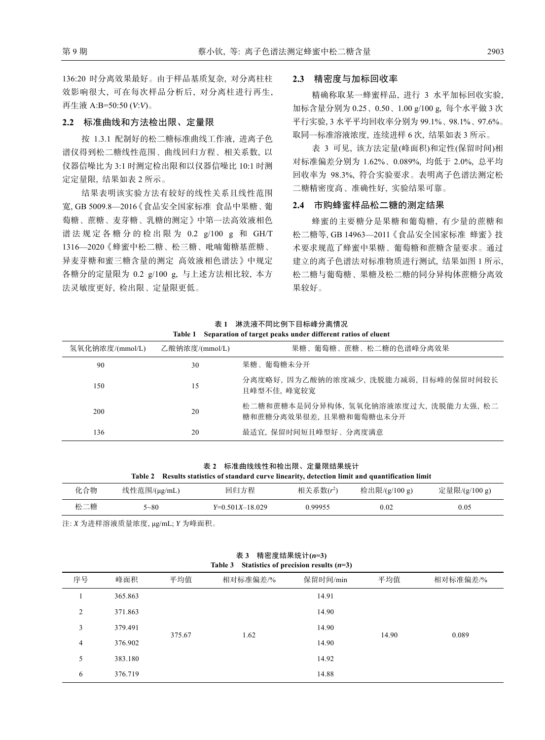136:20 时分离效果最好。由于样品基质复杂, 对分离柱柱 效影响很大, 可在每次样品分析后, 对分离柱进行再生, 再生液 A:B=50:50 (*V*:*V*)。

## **2.2** 标准曲线和方法检出限、定量限

按 1.3.1 配制好的松二糖标准曲线工作液, 进离子色 谱仪得到松二糖线性范围、曲线回归方程、相关系数, 以 仪器信噪比为 3:1 时测定检出限和以仪器信噪比 10:1 时测 定定量限, 结果如表 2 所示。

结果表明该实验方法有较好的线性关系且线性范围 宽, GB 5009.8—2016《食品安全国家标准 食品中果糖、葡 萄糖、蔗糖、麦芽糖、乳糖的测定》中第一法高效液相色 谱法规定各糖分的检出限为 0.2 g/100 g 和 GH/T 1316—2020《蜂蜜中松二糖、松三糖、吡喃葡糖基蔗糖、 异麦芽糖和蜜三糖含量的测定 高效液相色谱法》中规定 各糖分的定量限为 0.2 g/100 g, 与上述方法相比较, 本方 法灵敏度更好, 检出限、定量限更低。

## **2.3** 精密度与加标回收率

精确称取某一蜂蜜样品, 进行 3 水平加标回收实验, 加标含量分别为 0.25、0.50、1.00 g/100 g, 每个水平做 3 次 平行实验, 3 水平平均回收率分别为 99.1%、98.1%、97.6%。 取同一标准溶液浓度, 连续进样 6 次, 结果如表 3 所示。

表 3 可见, 该方法定量(峰面积)和定性(保留时间)相 对标准偏差分别为 1.62%、0.089%, 均低于 2.0%, 总平均 回收率为 98.3%, 符合实验要求。表明离子色谱法测定松 二糖精密度高、准确性好, 实验结果可靠。

## **2.4** 市购蜂蜜样品松二糖的测定结果

蜂蜜的主要糖分是果糖和葡萄糖, 有少量的蔗糖和 松二糖等, GB 14963—2011《食品安全国家标准 蜂蜜》技 术要求规范了蜂蜜中果糖、葡萄糖和蔗糖含量要求。通过 建立的离子色谱法对标准物质进行测试, 结果如图 1 所示, 松二糖与葡萄糖、果糖及松二糖的同分异构体蔗糖分离效 果较好。

**Table 1 Separation of target peaks under different ratios of eluent** 

表 **1** 淋洗液不同比例下目标峰分离情况

| 氢氧化钠浓度/(mmol/L) | 乙酸钠浓度/(mmol/L) | 果糖、葡萄糖、蔗糖、松二糖的色谱峰分离效果                                           |
|-----------------|----------------|-----------------------------------------------------------------|
| 90              | 30             | 果糖、葡萄糖未分开                                                       |
| 150             | 15             | 分离度略好, 因为乙酸钠的浓度减少, 洗脱能力减弱, 目标峰的保留时间较长<br>且峰型不佳, 峰宽较宽            |
| 200             | 20             | 松二糖和蔗糖本是同分异构体, 氢氧化钠溶液浓度过大, 洗脱能力太强, 松二<br>糖和蔗糖分离效果很差,且果糖和葡萄糖也未分开 |
| 136             | 20             | 最适宜, 保留时间短且峰型好、分离度满意                                            |

表 **2** 标准曲线线性和检出限、定量限结果统计 **Table 2 Results statistics of standard curve linearity, detection limit and quantification limit** 

| 化合物 | 线性范围/(μg/mL) | 回归方程              | 相关系数 $(r^2)$ | 检出限/(g/100 g) | 定量限/(g/100 g) |
|-----|--------------|-------------------|--------------|---------------|---------------|
| 松二糖 | $5 - 80$     | $Y=0.501X-18.029$ | 0.99955      | 0.02          | 0.05          |

注: *X* 为进样溶液质量浓度, μg/mL; *Y* 为峰面积。

| Statistics of precision results $(n=3)$<br>Table 3 |         |        |          |          |       |          |  |
|----------------------------------------------------|---------|--------|----------|----------|-------|----------|--|
| 序号                                                 | 峰面积     | 平均值    | 相对标准偏差/% | 保留时间/min | 平均值   | 相对标准偏差/% |  |
|                                                    | 365.863 |        |          | 14.91    |       |          |  |
| $\overline{c}$                                     | 371.863 |        |          | 14.90    |       |          |  |
| 3                                                  | 379.491 | 375.67 | 1.62     | 14.90    | 14.90 | 0.089    |  |
| 4                                                  | 376.902 |        |          | 14.90    |       |          |  |
| 5                                                  | 383.180 |        |          | 14.92    |       |          |  |
| 6                                                  | 376.719 |        |          | 14.88    |       |          |  |
|                                                    |         |        |          |          |       |          |  |

表 **3** 精密度结果统计**(***n***=3)**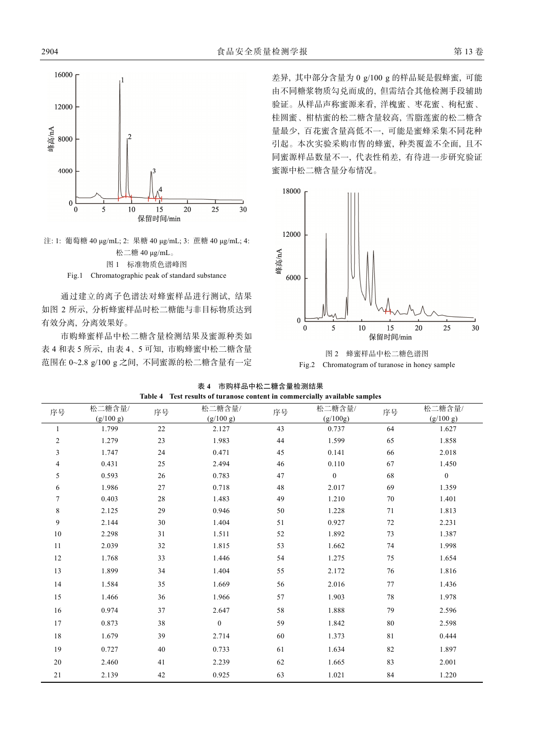

注: 1: 葡萄糖 40 μg/mL; 2: 果糖 40 μg/mL; 3: 蔗糖 40 μg/mL; 4: 松二糖 40 μg/mL。 图 1 标准物质色谱峰图 Fig.1 Chromatographic peak of standard substance

通过建立的离子色谱法对蜂蜜样品进行测试, 结果 如图 2 所示, 分析蜂蜜样品时松二糖能与非目标物质达到 有效分离, 分离效果好。

市购蜂蜜样品中松二糖含量检测结果及蜜源种类如 表 4 和表 5 所示, 由表 4、5 可知, 市购蜂蜜中松二糖含量 范围在 0~2.8 g/100 g 之间, 不同蜜源的松二糖含量有一定

差异, 其中部分含量为 0 g/100 g 的样品疑是假蜂蜜, 可能 由不同糖浆物质勾兑而成的, 但需结合其他检测手段辅助 验证。从样品声称蜜源来看, 洋槐蜜、枣花蜜、枸杞蜜、 桂圆蜜、柑桔蜜的松二糖含量较高, 雪脂莲蜜的松二糖含 量最少, 百花蜜含量高低不一, 可能是蜜蜂采集不同花种 引起。本次实验采购市售的蜂蜜, 种类覆盖不全面, 且不 同蜜源样品数量不一, 代表性稍差, 有待进一步研究验证 蜜源中松二糖含量分布情况。





|  | 表 4 市购样品中松二糖含量检测结果                                                         |
|--|----------------------------------------------------------------------------|
|  | Table 4 Test results of turanose content in commercially available samples |

| Test results of turanose content in commercially available samples |                     |        |                     |    |                    |    |                     |  |
|--------------------------------------------------------------------|---------------------|--------|---------------------|----|--------------------|----|---------------------|--|
| 序号                                                                 | 松二糖含量/<br>(g/100 g) | 序号     | 松二糖含量/<br>(g/100 g) | 序号 | 松二糖含量/<br>(g/100g) | 序号 | 松二糖含量/<br>(g/100 g) |  |
| 1                                                                  | 1.799               | $22\,$ | 2.127               | 43 | 0.737              | 64 | 1.627               |  |
| $\mathfrak{2}$                                                     | 1.279               | 23     | 1.983               | 44 | 1.599              | 65 | 1.858               |  |
| 3                                                                  | 1.747               | 24     | 0.471               | 45 | 0.141              | 66 | 2.018               |  |
| 4                                                                  | 0.431               | 25     | 2.494               | 46 | 0.110              | 67 | 1.450               |  |
| 5                                                                  | 0.593               | 26     | 0.783               | 47 | $\mathbf{0}$       | 68 | $\boldsymbol{0}$    |  |
| 6                                                                  | 1.986               | 27     | 0.718               | 48 | 2.017              | 69 | 1.359               |  |
| $\tau$                                                             | 0.403               | $28\,$ | 1.483               | 49 | 1.210              | 70 | 1.401               |  |
| 8                                                                  | 2.125               | 29     | 0.946               | 50 | 1.228              | 71 | 1.813               |  |
| 9                                                                  | 2.144               | 30     | 1.404               | 51 | 0.927              | 72 | 2.231               |  |
| 10                                                                 | 2.298               | 31     | 1.511               | 52 | 1.892              | 73 | 1.387               |  |
| 11                                                                 | 2.039               | 32     | 1.815               | 53 | 1.662              | 74 | 1.998               |  |
| 12                                                                 | 1.768               | 33     | 1.446               | 54 | 1.275              | 75 | 1.654               |  |
| 13                                                                 | 1.899               | 34     | 1.404               | 55 | 2.172              | 76 | 1.816               |  |
| 14                                                                 | 1.584               | 35     | 1.669               | 56 | 2.016              | 77 | 1.436               |  |
| 15                                                                 | 1.466               | 36     | 1.966               | 57 | 1.903              | 78 | 1.978               |  |
| 16                                                                 | 0.974               | 37     | 2.647               | 58 | 1.888              | 79 | 2.596               |  |
| 17                                                                 | 0.873               | 38     | $\mathbf{0}$        | 59 | 1.842              | 80 | 2.598               |  |
| 18                                                                 | 1.679               | 39     | 2.714               | 60 | 1.373              | 81 | 0.444               |  |
| 19                                                                 | 0.727               | 40     | 0.733               | 61 | 1.634              | 82 | 1.897               |  |
| $20\,$                                                             | 2.460               | 41     | 2.239               | 62 | 1.665              | 83 | 2.001               |  |
| $21\,$                                                             | 2.139               | 42     | 0.925               | 63 | 1.021              | 84 | 1.220               |  |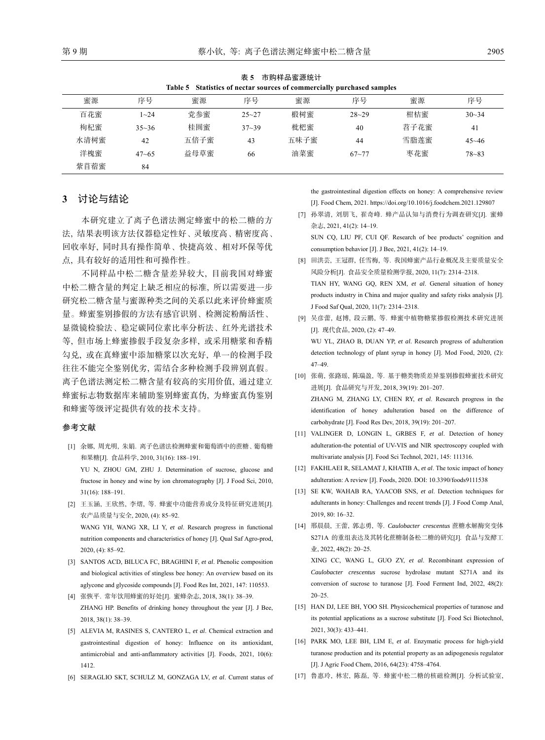| <b>1 火 ? □□穴"】"十口口虫 //小シし レ l</b><br>Table 5 Statistics of nectar sources of commercially purchased samples |           |      |           |      |           |      |           |
|-------------------------------------------------------------------------------------------------------------|-----------|------|-----------|------|-----------|------|-----------|
| 蜜源                                                                                                          | 序号        | 蜜源   | 序号        | 蜜源   | 序号        | 蜜源   | 序号        |
| 百花蜜                                                                                                         | $1 - 24$  | 党参蜜  | $25 - 27$ | 椴树蜜  | $28 - 29$ | 柑桔蜜  | $30 - 34$ |
| 枸杞蜜                                                                                                         | $35 - 36$ | 桂圆蜜  | $37 - 39$ | 枇杷蜜  | 40        | 苕子花蜜 | 41        |
| 水清树蜜                                                                                                        | 42        | 五倍子蜜 | 43        | 五味子蜜 | 44        | 雪脂莲蜜 | $45 - 46$ |
| 洋槐蜜                                                                                                         | $47 - 65$ | 益母草蜜 | 66        | 油菜蜜  | $67 - 77$ | 枣花蜜  | $78 - 83$ |
| 紫苜蓿蜜                                                                                                        | 84        |      |           |      |           |      |           |

表 **5** 市购样品蜜源统计

## **3** 讨论与结论

本研究建立了离子色谱法测定蜂蜜中的松二糖的方 法, 结果表明该方法仪器稳定性好、灵敏度高、精密度高、 回收率好, 同时具有操作简单、快捷高效、相对环保等优 点, 具有较好的适用性和可操作性。

不同样品中松二糖含量差异较大, 目前我国对蜂蜜 中松二糖含量的判定上缺乏相应的标准, 所以需要进一步 研究松二糖含量与蜜源种类之间的关系以此来评价蜂蜜质 量。蜂蜜鉴别掺假的方法有感官识别、检测淀粉酶活性、 显微镜检验法、稳定碳同位素比率分析法、红外光谱技术 等, 但市场上蜂蜜掺假手段复杂多样, 或采用糖浆和香精 勾兑, 或在真蜂蜜中添加糖浆以次充好, 单一的检测手段 往往不能完全鉴别优劣, 需结合多种检测手段辨别真假。 离子色谱法测定松二糖含量有较高的实用价值, 通过建立 蜂蜜标志物数据库来辅助鉴别蜂蜜真伪, 为蜂蜜真伪鉴别 和蜂蜜等级评定提供有效的技术支持。

#### 参考文献

- [1] 余娜, 周光明, 朱娟. 离子色谱法检测蜂蜜和葡萄酒中的蔗糖、葡萄糖 和果糖[J]. 食品科学, 2010, 31(16): 188–191. YU N, ZHOU GM, ZHU J. Determination of sucrose, glucose and fructose in honey and wine by ion chromatography [J]. J Food Sci, 2010, 31(16): 188–191.
- [2] 王玉涵, 王欣然, 李熠, 等. 蜂蜜中功能营养成分及特征研究进展[J]. 农产品质量与安全, 2020, (4): 85–92. WANG YH, WANG XR, LI Y, *et al*. Research progress in functional nutrition components and characteristics of honey [J]. Qual Saf Agro-prod,

2020, (4): 85–92.

- [3] SANTOS ACD, BILUCA FC, BRAGHINI F, *et al*. Phenolic composition and biological activities of stingless bee honey: An overview based on its aglycone and glycoside compounds [J]. Food Res Int, 2021, 147: 110553.
- [4] 张恢平. 常年饮用蜂蜜的好处[J]. 蜜蜂杂志, 2018, 38(1): 38–39. ZHANG HP. Benefits of drinking honey throughout the year [J]. J Bee, 2018, 38(1): 38–39.
- [5] ALEVIA M, RASINES S, CANTERO L, *et al*. Chemical extraction and gastrointestinal digestion of honey: Influence on its antioxidant, antimicrobial and anti-anflammatory activities [J]. Foods, 2021, 10(6): 1412.
- [6] SERAGLIO SKT, SCHULZ M, GONZAGA LV, *et al*. Current status of

the gastrointestinal digestion effects on honey: A comprehensive review [J]. Food Chem, 2021. https://doi.org/10.1016/j.foodchem.2021.129807

[7] 孙翠清, 刘朋飞, 崔奇峰. 蜂产品认知与消费行为调查研究[J]. 蜜蜂 杂志, 2021, 41(2): 14–19. SUN CQ, LIU PF, CUI QF. Research of bee products' cognition and

consumption behavior [J]. J Bee, 2021, 41(2): 14–19.

- [8] 田洪芸, 王冠群, 任雪梅, 等. 我国蜂蜜产品行业概况及主要质量安全 风险分析[J]. 食品安全质量检测学报, 2020, 11(7): 2314–2318. TIAN HY, WANG GQ, REN XM, *et al*. General situation of honey products industry in China and major quality and safety risks analysis [J]. J Food Saf Qual, 2020, 11(7): 2314–2318.
- [9] 吴彦蕾, 赵博, 段云鹏, 等. 蜂蜜中植物糖浆掺假检测技术研究进展 [J]. 现代食品, 2020, (2): 47–49. WU YL, ZHAO B, DUAN YP, *et al*. Research progress of adulteration detection technology of plant syrup in honey [J]. Mod Food, 2020, (2): 47–49.
- [10] 张萌, 张路瑶, 陈瑞盈, 等. 基于糖类物质差异鉴别掺假蜂蜜技术研究 进展[J]. 食品研究与开发, 2018, 39(19): 201–207. ZHANG M, ZHANG LY, CHEN RY, *et al*. Research progress in the identification of honey adulteration based on the difference of carbohydrate [J]. Food Res Dev, 2018, 39(19): 201–207.
- [11] VALINGER D, LONGIN L, GRBES F, *et al*. Detection of honey adulteration-the potential of UV-VIS and NIR spectroscopy coupled with multivariate analysis [J]. Food Sci Technol, 2021, 145: 111316.
- [12] FAKHLAEI R, SELAMAT J, KHATIB A, *et al*. The toxic impact of honey adulteration: A review [J]. Foods, 2020. DOI: 10.3390/foods9111538
- [13] SE KW, WAHAB RA, YAACOB SNS, *et al.* Detection techniques for adulterants in honey: Challenges and recent trends [J]. J Food Comp Anal, 2019, 80: 16–32.
- [14] 邢晨晨, 王蕾, 郭志勇, 等. *Caulobacter crescentus* 蔗糖水解酶突变体 S271A 的重组表达及其转化蔗糖制备松二糖的研究[J]. 食品与发酵工 业, 2022, 48(2): 20-25.

XING CC, WANG L, GUO ZY, *et al*. Recombinant expression of *Caulobacter crescentus* sucrose hydrolase mutant S271A and its conversion of sucrose to turanose [J]. Food Ferment Ind, 2022, 48(2): 20–25.

- [15] HAN DJ, LEE BH, YOO SH. Physicochemical properties of turanose and its potential applications as a sucrose substitute [J]. Food Sci Biotechnol, 2021, 30(3): 433–441.
- [16] PARK MO, LEE BH, LIM E, *et al*. Enzymatic process for high-yield turanose production and its potential property as an adipogenesis regulator [J]. J Agric Food Chem, 2016, 64(23): 4758–4764.
- [17] 鲁惠玲, 林宏, 陈磊, 等. 蜂蜜中松二糖的核磁检测[J]. 分析试验室,